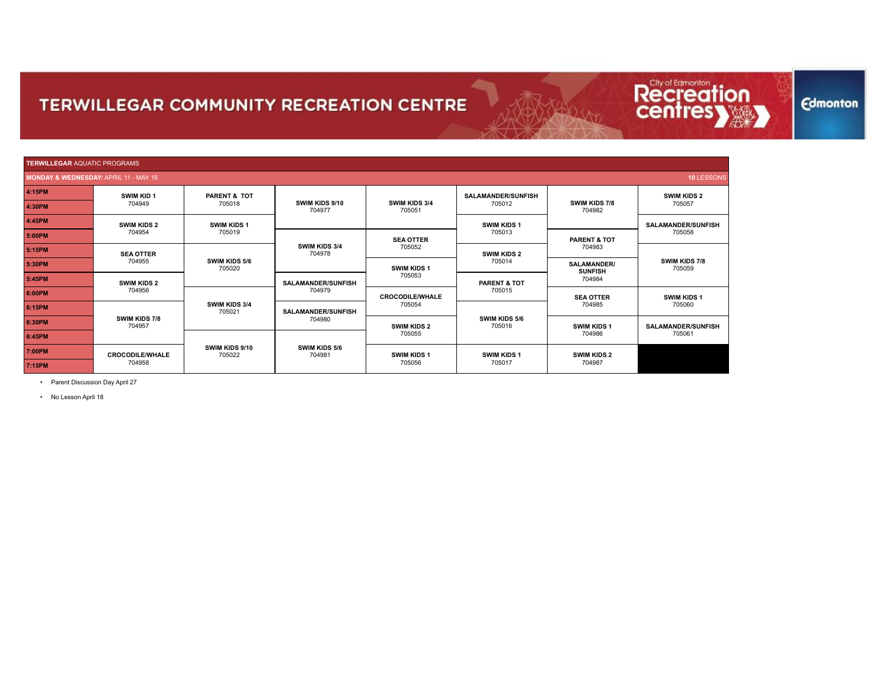

Recrea

**Edmonton** 

• Parent Discussion Day April 27

• No Lesson April 18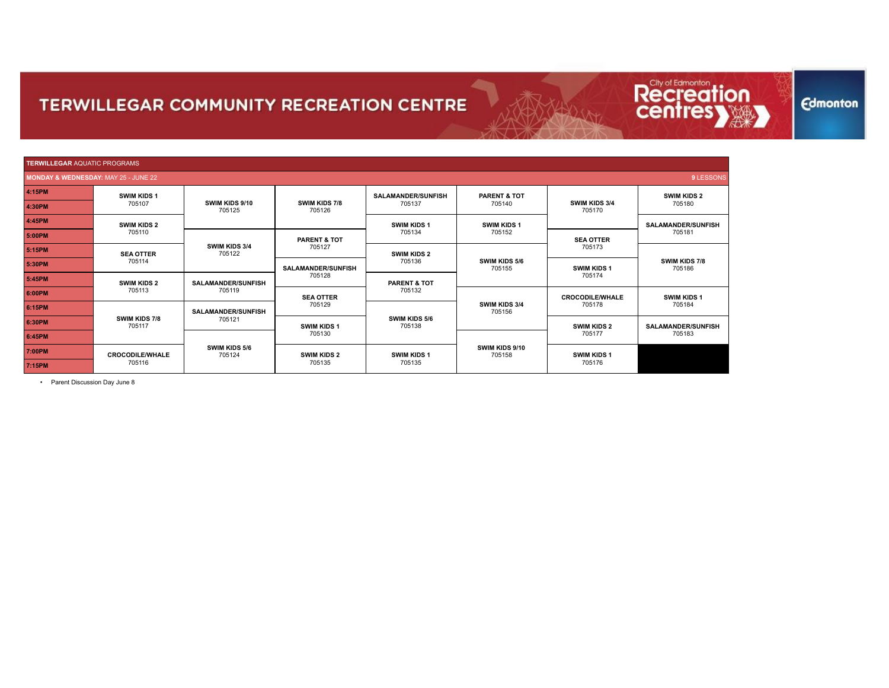

• Parent Discussion Day June 8

**Edmonton** 

Recreat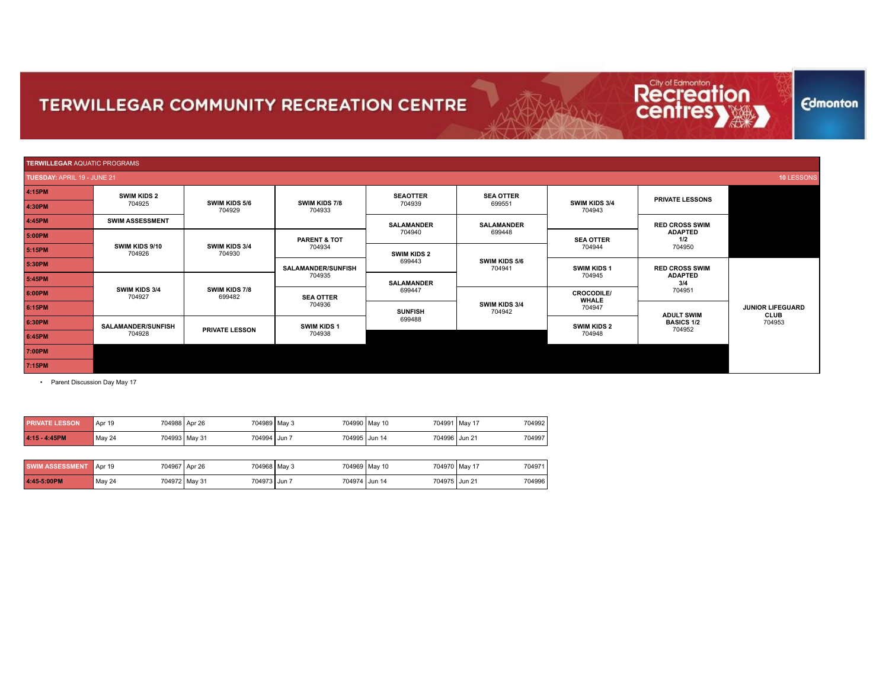

**Edmonton** 

| <b>TERWILLEGAR</b> AQUATIC PROGRAMS |                          |                         |                           |                             |                         |                                   |                                                                               |                         |        |        |  |
|-------------------------------------|--------------------------|-------------------------|---------------------------|-----------------------------|-------------------------|-----------------------------------|-------------------------------------------------------------------------------|-------------------------|--------|--------|--|
| TUESDAY: APRIL 19 - JUNE 21         |                          |                         |                           |                             |                         |                                   |                                                                               | 10 LESSONS              |        |        |  |
| 4:15PM                              | <b>SWIM KIDS 2</b>       |                         |                           | <b>SEAOTTER</b>             | <b>SEA OTTER</b>        |                                   | <b>PRIVATE LESSONS</b>                                                        |                         |        |        |  |
| 4:30PM                              | 704925                   | SWIM KIDS 5/6<br>704929 | SWIM KIDS 7/8<br>704933   | 704939                      | 699551                  | SWIM KIDS 3/4<br>704943           |                                                                               |                         |        |        |  |
| 4:45PM                              | <b>SWIM ASSESSMENT</b>   |                         |                           | <b>SALAMANDER</b>           | <b>SALAMANDER</b>       |                                   | <b>RED CROSS SWIM</b>                                                         |                         |        |        |  |
| 5:00PM                              |                          | SWIM KIDS 3/4<br>704930 | <b>PARENT &amp; TOT</b>   | 704940                      | 699448                  | <b>SEA OTTER</b>                  | <b>ADAPTED</b><br>1/2                                                         |                         |        |        |  |
| 5:15PM                              | SWIM KIDS 9/10<br>704926 |                         |                           |                             |                         | 704934                            | <b>SWIM KIDS 2</b>                                                            |                         | 704944 | 704950 |  |
| 5:30PM                              |                          |                         | <b>SALAMANDER/SUNFISH</b> | 699443<br><b>SALAMANDER</b> | SWIM KIDS 5/6<br>704941 | <b>SWIM KIDS 1</b>                | <b>RED CROSS SWIM</b><br><b>ADAPTED</b><br>3/4<br>704951<br><b>ADULT SWIM</b> |                         |        |        |  |
| 5:45PM                              |                          | SWIM KIDS 7/8<br>699482 | 704935                    |                             |                         | 704945                            |                                                                               |                         |        |        |  |
| 6:00PM                              | SWIM KIDS 3/4<br>704927  |                         | <b>SEA OTTER</b>          | 699447<br><b>SUNFISH</b>    | SWIM KIDS 3/4<br>704942 | <b>CROCODILE/</b><br><b>WHALE</b> |                                                                               |                         |        |        |  |
| 6:15PM                              |                          |                         | 704936                    |                             |                         | 704947                            |                                                                               | <b>JUNIOR LIFEGUARD</b> |        |        |  |
| 6:30PM                              | SALAMANDER/SUNFISH       | <b>PRIVATE LESSON</b>   | SWIM KIDS 1               | 699488                      |                         | <b>SWIM KIDS 2</b>                | <b>BASICS 1/2</b><br>704952                                                   | CLUB<br>704953          |        |        |  |
| 6:45PM                              | 704928                   |                         | 704938                    |                             |                         | 704948                            |                                                                               |                         |        |        |  |
| 7:00PM                              |                          |                         |                           |                             |                         |                                   |                                                                               |                         |        |        |  |
| 7:15PM                              |                          |                         |                           |                             |                         |                                   |                                                                               |                         |        |        |  |

• Parent Discussion Day May 17

| <b>PRIVATE LESSON</b>         | Apr 19 | 704988 Apr 26                 | 704989   May 3 | 704990 May 10                    | 704992<br>704991 May 17 |
|-------------------------------|--------|-------------------------------|----------------|----------------------------------|-------------------------|
| 4:15 - 4:45PM                 | May 24 | 704993 May 31<br>704994 Jun 7 |                | 704996   Jun 21<br>704995 Jun 14 | 704997                  |
|                               |        |                               |                |                                  |                         |
| <b>SWIM ASSESSMENT</b> Apr 19 |        | 704967 Apr 26                 | 704968 May 3   | 704969 May 10                    | 704970 May 17<br>704971 |
| 4:45-5:00PM                   | May 24 | 704972 May 31<br>704973 Jun 7 |                | 704974 Jun 14<br>704975 Jun 21   | 704996                  |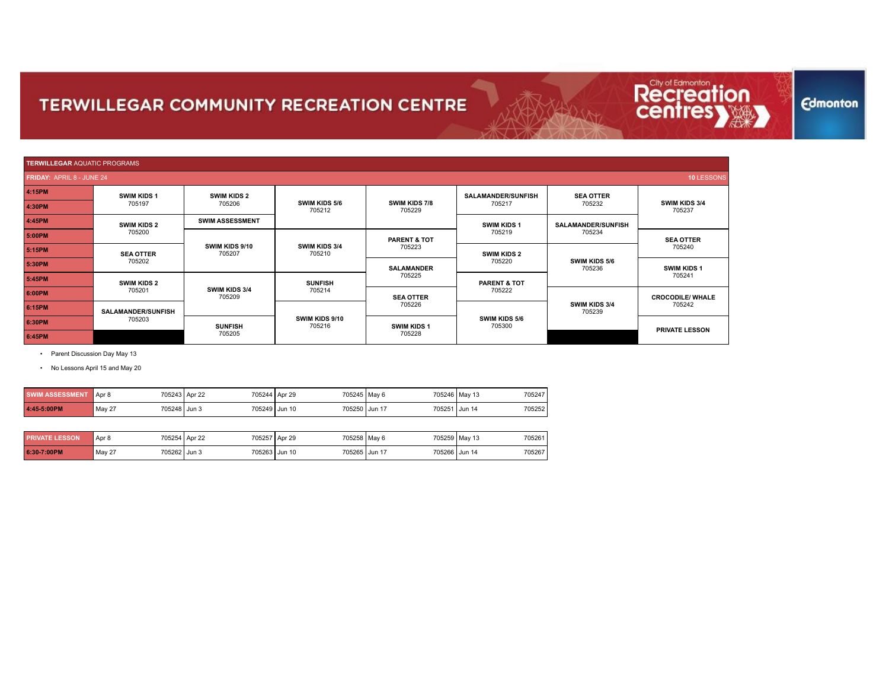

• Parent Discussion Day May 13

• No Lessons April 15 and May 20

| <b>SWIM ASSESSMENT</b> | Apr 8                    | 705243 Apr 22 | 705244 Apr 29<br>705245 May 6  | 705247<br>705246 May 13 |
|------------------------|--------------------------|---------------|--------------------------------|-------------------------|
| 4:45-5:00PM            | 705248   Jun 3<br>May 27 |               | 705249 Jun 10<br>705250 Jun 17 | 705251 Jun 14<br>705252 |

| <b>PRIVATE LESSON</b> | 705254<br>Apr 8  | 705257<br>Apr 22 | 705258 May 6<br>Apr 29         |        | 705259 May 13<br>705261 |
|-----------------------|------------------|------------------|--------------------------------|--------|-------------------------|
| 6:30-7:00PM           | May 27<br>705262 | 705263<br>Jun 3  | 705265 Jun 17<br><b>Jun 10</b> | 705266 | 705267<br>Jun 14        |

## **Edmonton**

Recrea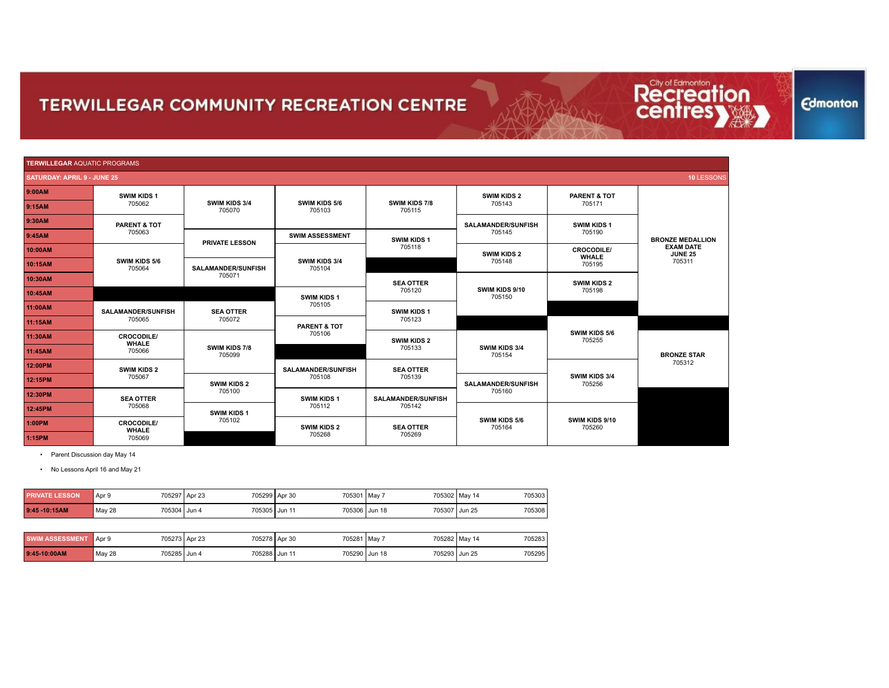| <b>TERWILLEGAR AQUATIC PROGRAMS</b> |                                   |                           |                           |                           |                           |                                |                                    |
|-------------------------------------|-----------------------------------|---------------------------|---------------------------|---------------------------|---------------------------|--------------------------------|------------------------------------|
| <b>SATURDAY: APRIL 9 - JUNE 25</b>  |                                   |                           |                           |                           |                           |                                | 10 LESSONS                         |
| 9:00AM                              | <b>SWIM KIDS 1</b>                |                           |                           |                           | <b>SWIM KIDS 2</b>        | <b>PARENT &amp; TOT</b>        |                                    |
| 9:15AM                              | 705062                            | SWIM KIDS 3/4<br>705070   | SWIM KIDS 5/6<br>705103   | SWIM KIDS 7/8<br>705115   | 705143                    | 705171                         |                                    |
| 9:30AM                              | <b>PARENT &amp; TOT</b>           |                           |                           |                           | <b>SALAMANDER/SUNFISH</b> | SWIM KIDS 1                    |                                    |
| 9:45AM                              | 705063                            |                           | <b>SWIM ASSESSMENT</b>    | SWIM KIDS 1               | 705145                    | 705190                         | <b>BRONZE MEDALLION</b>            |
| 10:00AM                             |                                   | <b>PRIVATE LESSON</b>     | 705118                    |                           | <b>SWIM KIDS 2</b>        | <b>CROCODILE/</b>              | <b>EXAM DATE</b><br><b>JUNE 25</b> |
| 10:15AM                             | SWIM KIDS 5/6<br>705064           | <b>SALAMANDER/SUNFISH</b> | SWIM KIDS 3/4<br>705104   |                           | 705148                    | <b>WHALE</b><br>705195         | 705311                             |
| 10:30AM                             |                                   | 705071                    |                           | <b>SEA OTTER</b>          | <b>SWIM KIDS 2</b>        |                                |                                    |
| 10:45AM                             |                                   |                           | SWIM KIDS 1               | 705120                    | SWIM KIDS 9/10<br>705150  | 705198                         |                                    |
| 11:00AM                             | <b>SALAMANDER/SUNFISH</b>         | <b>SEA OTTER</b>          | 705105                    | SWIM KIDS 1               |                           |                                |                                    |
| 11:15AM                             | 705065                            | 705072                    | PARENT & TOT              | 705123                    |                           |                                |                                    |
| 11:30AM                             | <b>CROCODILE/</b><br><b>WHALE</b> |                           | 705106                    | <b>SWIM KIDS 2</b>        |                           | <b>SWIM KIDS 5/6</b><br>705255 | <b>BRONZE STAR</b><br>705312       |
| 11:45AM                             | 705066                            | SWIM KIDS 7/8<br>705099   |                           | 705133                    | SWIM KIDS 3/4<br>705154   |                                |                                    |
| 12:00PM                             | <b>SWIM KIDS 2</b>                |                           | <b>SALAMANDER/SUNFISH</b> | <b>SEA OTTER</b>          |                           |                                |                                    |
| 12:15PM                             | 705067                            | <b>SWIM KIDS 2</b>        | 705108                    | 705139                    | <b>SALAMANDER/SUNFISH</b> | SWIM KIDS 3/4<br>705256        |                                    |
| 12:30PM                             | <b>SEA OTTER</b>                  | 705100                    | <b>SWIM KIDS 1</b>        | <b>SALAMANDER/SUNFISH</b> | 705160                    |                                |                                    |
| 12:45PM                             | 705068                            | SWIM KIDS 1               | 705112                    | 705142                    |                           |                                |                                    |
| 1:00PM                              | <b>CROCODILE/</b>                 | 705102                    | <b>SWIM KIDS 2</b>        | <b>SEA OTTER</b>          | SWIM KIDS 5/6<br>705164   | SWIM KIDS 9/10<br>705260       |                                    |
| 1:15PM                              | <b>WHALE</b><br>705069            |                           | 705268                    | 705269                    |                           |                                |                                    |

• Parent Discussion day May 14

• No Lessons April 16 and May 21

| <b>PRIVATE LESSON</b>  | Apr 9                  | 705297 Apr 23 | 705299 Apr 30<br>705301 May 7 |               | 705303<br>705302 May 14 |
|------------------------|------------------------|---------------|-------------------------------|---------------|-------------------------|
| 9:45 - 10:15AM         | May 28<br>705304 Jun 4 | 705305 Jun 11 | 705306 Jun 18                 | 705307 Jun 25 | 705308                  |
|                        |                        |               |                               |               |                         |
| <b>SWIM ASSESSMENT</b> | Apr 9                  | 705273 Apr 23 | 705278 Apr 30<br>705281 May 7 |               | 705283<br>705282 May 14 |
| 9:45-10:00AM           | May 28<br>705285 Jun 4 | 705288 Jun 11 | 705290 Jun 18                 | 705293 Jun 25 | 705295                  |

**Edmonton** 

Recreation<br>**Centresy**